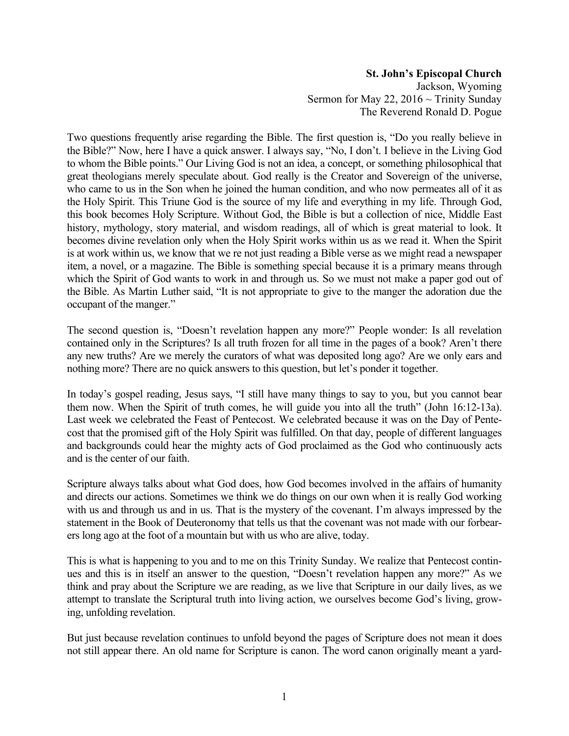## **St. John's Episcopal Church**

Jackson, Wyoming Sermon for May 22,  $2016 \sim$  Trinity Sunday The Reverend Ronald D. Pogue

Two questions frequently arise regarding the Bible. The first question is, "Do you really believe in the Bible?" Now, here I have a quick answer. I always say, "No, I don't. I believe in the Living God to whom the Bible points." Our Living God is not an idea, a concept, or something philosophical that great theologians merely speculate about. God really is the Creator and Sovereign of the universe, who came to us in the Son when he joined the human condition, and who now permeates all of it as the Holy Spirit. This Triune God is the source of my life and everything in my life. Through God, this book becomes Holy Scripture. Without God, the Bible is but a collection of nice, Middle East history, mythology, story material, and wisdom readings, all of which is great material to look. It becomes divine revelation only when the Holy Spirit works within us as we read it. When the Spirit is at work within us, we know that we re not just reading a Bible verse as we might read a newspaper item, a novel, or a magazine. The Bible is something special because it is a primary means through which the Spirit of God wants to work in and through us. So we must not make a paper god out of the Bible. As Martin Luther said, "It is not appropriate to give to the manger the adoration due the occupant of the manger."

The second question is, "Doesn't revelation happen any more?" People wonder: Is all revelation contained only in the Scriptures? Is all truth frozen for all time in the pages of a book? Aren't there any new truths? Are we merely the curators of what was deposited long ago? Are we only ears and nothing more? There are no quick answers to this question, but let's ponder it together.

In today's gospel reading, Jesus says, "I still have many things to say to you, but you cannot bear them now. When the Spirit of truth comes, he will guide you into all the truth" (John 16:12-13a). Last week we celebrated the Feast of Pentecost. We celebrated because it was on the Day of Pentecost that the promised gift of the Holy Spirit was fulfilled. On that day, people of different languages and backgrounds could hear the mighty acts of God proclaimed as the God who continuously acts and is the center of our faith.

Scripture always talks about what God does, how God becomes involved in the affairs of humanity and directs our actions. Sometimes we think we do things on our own when it is really God working with us and through us and in us. That is the mystery of the covenant. I'm always impressed by the statement in the Book of Deuteronomy that tells us that the covenant was not made with our forbearers long ago at the foot of a mountain but with us who are alive, today.

This is what is happening to you and to me on this Trinity Sunday. We realize that Pentecost continues and this is in itself an answer to the question, "Doesn't revelation happen any more?" As we think and pray about the Scripture we are reading, as we live that Scripture in our daily lives, as we attempt to translate the Scriptural truth into living action, we ourselves become God's living, growing, unfolding revelation.

But just because revelation continues to unfold beyond the pages of Scripture does not mean it does not still appear there. An old name for Scripture is canon. The word canon originally meant a yard-